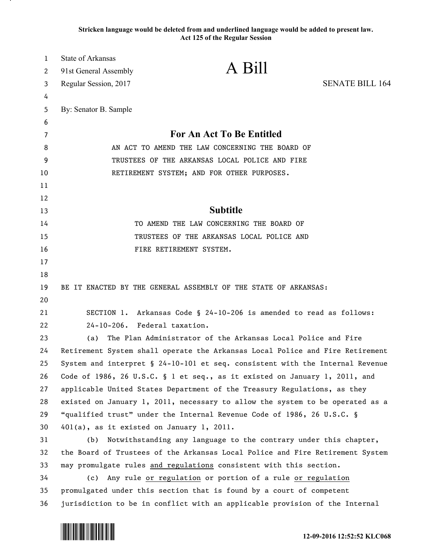**Stricken language would be deleted from and underlined language would be added to present law. Act 125 of the Regular Session**

| $\mathbf{1}$ | <b>State of Arkansas</b>                        |                                                                               |                        |
|--------------|-------------------------------------------------|-------------------------------------------------------------------------------|------------------------|
| 2            | 91st General Assembly                           | A Bill                                                                        |                        |
| 3            | Regular Session, 2017                           |                                                                               | <b>SENATE BILL 164</b> |
| 4            |                                                 |                                                                               |                        |
| 5            | By: Senator B. Sample                           |                                                                               |                        |
| 6            |                                                 |                                                                               |                        |
| 7            | <b>For An Act To Be Entitled</b>                |                                                                               |                        |
| 8            | AN ACT TO AMEND THE LAW CONCERNING THE BOARD OF |                                                                               |                        |
| 9            |                                                 | TRUSTEES OF THE ARKANSAS LOCAL POLICE AND FIRE                                |                        |
| 10           |                                                 | RETIREMENT SYSTEM; AND FOR OTHER PURPOSES.                                    |                        |
| 11           |                                                 |                                                                               |                        |
| 12           |                                                 | <b>Subtitle</b>                                                               |                        |
| 13           |                                                 |                                                                               |                        |
| 14           |                                                 | TO AMEND THE LAW CONCERNING THE BOARD OF                                      |                        |
| 15           |                                                 | TRUSTEES OF THE ARKANSAS LOCAL POLICE AND                                     |                        |
| 16           |                                                 | FIRE RETIREMENT SYSTEM.                                                       |                        |
| 17           |                                                 |                                                                               |                        |
| 18<br>19     |                                                 | BE IT ENACTED BY THE GENERAL ASSEMBLY OF THE STATE OF ARKANSAS:               |                        |
| 20           |                                                 |                                                                               |                        |
| 21           | SECTION 1.                                      | Arkansas Code § 24-10-206 is amended to read as follows:                      |                        |
| 22           | 24-10-206. Federal taxation.                    |                                                                               |                        |
| 23           | (a)                                             | The Plan Administrator of the Arkansas Local Police and Fire                  |                        |
| 24           |                                                 | Retirement System shall operate the Arkansas Local Police and Fire Retirement |                        |
| 25           |                                                 | System and interpret § 24-10-101 et seq. consistent with the Internal Revenue |                        |
| 26           |                                                 | Code of 1986, 26 U.S.C. § 1 et seq., as it existed on January 1, 2011, and    |                        |
| 27           |                                                 | applicable United States Department of the Treasury Regulations, as they      |                        |
| 28           |                                                 | existed on January 1, 2011, necessary to allow the system to be operated as a |                        |
| 29           |                                                 | "qualified trust" under the Internal Revenue Code of 1986, 26 U.S.C. §        |                        |
| 30           | 401(a), as it existed on January 1, 2011.       |                                                                               |                        |
| 31           | (b)                                             | Notwithstanding any language to the contrary under this chapter,              |                        |
| 32           |                                                 | the Board of Trustees of the Arkansas Local Police and Fire Retirement System |                        |
| 33           |                                                 | may promulgate rules and regulations consistent with this section.            |                        |
| 34           |                                                 | (c) Any rule or regulation or portion of a rule or regulation                 |                        |
| 35           |                                                 | promulgated under this section that is found by a court of competent          |                        |
| 36           |                                                 | jurisdiction to be in conflict with an applicable provision of the Internal   |                        |
|              |                                                 |                                                                               |                        |